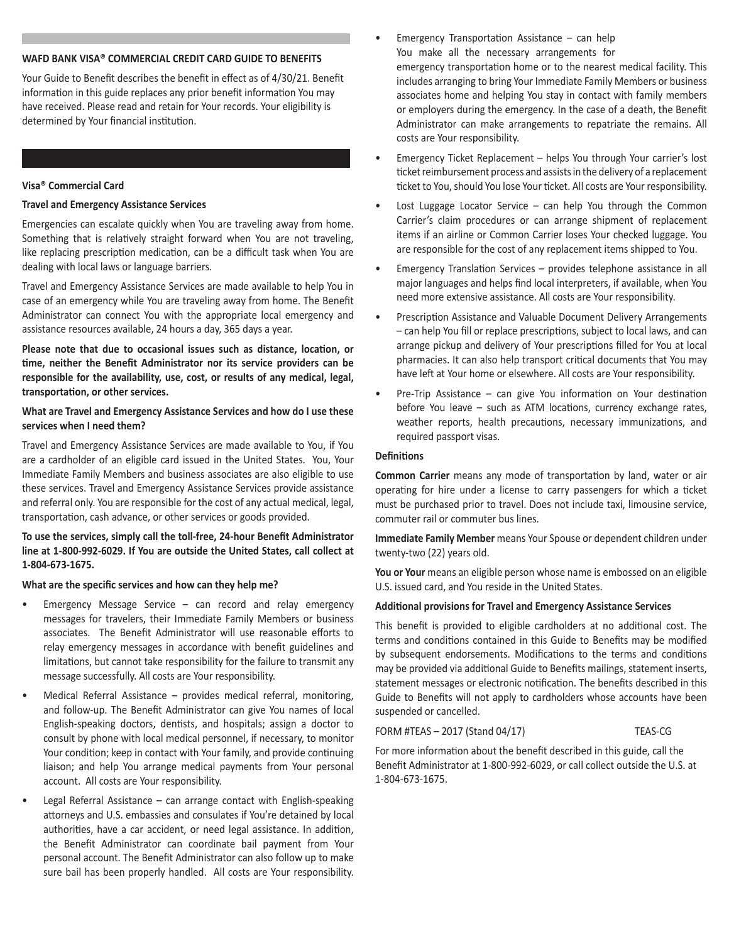# **WAFD BANK VISA® COMMERCIAL CREDIT CARD GUIDE TO BENEFITS**

Your Guide to Benefit describes the benefit in effect as of 4/30/21. Benefit information in this guide replaces any prior benefit information You may have received. Please read and retain for Your records. Your eligibility is determined by Your financial institution.

#### **Visa® Commercial Card**

### **Travel and Emergency Assistance Services**

Emergencies can escalate quickly when You are traveling away from home. Something that is relatively straight forward when You are not traveling, like replacing prescription medication, can be a difficult task when You are dealing with local laws or language barriers.

Travel and Emergency Assistance Services are made available to help You in case of an emergency while You are traveling away from home. The Benefit Administrator can connect You with the appropriate local emergency and assistance resources available, 24 hours a day, 365 days a year.

**Please note that due to occasional issues such as distance, location, or time, neither the Benefit Administrator nor its service providers can be responsible for the availability, use, cost, or results of any medical, legal, transportation, or other services.**

## **What are Travel and Emergency Assistance Services and how do I use these services when I need them?**

Travel and Emergency Assistance Services are made available to You, if You are a cardholder of an eligible card issued in the United States. You, Your Immediate Family Members and business associates are also eligible to use these services. Travel and Emergency Assistance Services provide assistance and referral only. You are responsible for the cost of any actual medical, legal, transportation, cash advance, or other services or goods provided.

# **To use the services, simply call the toll-free, 24-hour Benefit Administrator line at 1-800-992-6029. If You are outside the United States, call collect at 1-804-673-1675.**

#### **What are the specific services and how can they help me?**

- Emergency Message Service  $-$  can record and relay emergency messages for travelers, their Immediate Family Members or business associates. The Benefit Administrator will use reasonable efforts to relay emergency messages in accordance with benefit guidelines and limitations, but cannot take responsibility for the failure to transmit any message successfully. All costs are Your responsibility.
- Medical Referral Assistance provides medical referral, monitoring, and follow-up. The Benefit Administrator can give You names of local English-speaking doctors, dentists, and hospitals; assign a doctor to consult by phone with local medical personnel, if necessary, to monitor Your condition; keep in contact with Your family, and provide continuing liaison; and help You arrange medical payments from Your personal account. All costs are Your responsibility.
- Legal Referral Assistance  $-$  can arrange contact with English-speaking attorneys and U.S. embassies and consulates if You're detained by local authorities, have a car accident, or need legal assistance. In addition, the Benefit Administrator can coordinate bail payment from Your personal account. The Benefit Administrator can also follow up to make sure bail has been properly handled. All costs are Your responsibility.
- Emergency Transportation Assistance  $-$  can help You make all the necessary arrangements for emergency transportation home or to the nearest medical facility. This includes arranging to bring Your Immediate Family Members or business associates home and helping You stay in contact with family members or employers during the emergency. In the case of a death, the Benefit Administrator can make arrangements to repatriate the remains. All costs are Your responsibility.
- Emergency Ticket Replacement helps You through Your carrier's lost ticket reimbursement process and assists in the delivery of a replacement ticket to You, should You lose Your ticket. All costs are Your responsibility.
- Lost Luggage Locator Service can help You through the Common Carrier's claim procedures or can arrange shipment of replacement items if an airline or Common Carrier loses Your checked luggage. You are responsible for the cost of any replacement items shipped to You.
- Emergency Translation Services provides telephone assistance in all major languages and helps find local interpreters, if available, when You need more extensive assistance. All costs are Your responsibility.
- Prescription Assistance and Valuable Document Delivery Arrangements – can help You fill or replace prescriptions, subject to local laws, and can arrange pickup and delivery of Your prescriptions filled for You at local pharmacies. It can also help transport critical documents that You may have left at Your home or elsewhere. All costs are Your responsibility.
- Pre-Trip Assistance can give You information on Your destination before You leave – such as ATM locations, currency exchange rates, weather reports, health precautions, necessary immunizations, and required passport visas.

#### **Definitions**

**Common Carrier** means any mode of transportation by land, water or air operating for hire under a license to carry passengers for which a ticket must be purchased prior to travel. Does not include taxi, limousine service, commuter rail or commuter bus lines.

**Immediate Family Member** means Your Spouse or dependent children under twenty-two (22) years old.

You or Your means an eligible person whose name is embossed on an eligible U.S. issued card, and You reside in the United States.

#### **Additional provisions for Travel and Emergency Assistance Services**

This benefit is provided to eligible cardholders at no additional cost. The terms and conditions contained in this Guide to Benefits may be modified by subsequent endorsements. Modifications to the terms and conditions may be provided via additional Guide to Benefits mailings, statement inserts, statement messages or electronic notification. The benefits described in this Guide to Benefits will not apply to cardholders whose accounts have been suspended or cancelled.

#### FORM #TEAS – 2017 (Stand 04/17) TEAS-CG

For more information about the benefit described in this guide, call the Benefit Administrator at 1-800-992-6029, or call collect outside the U.S. at 1-804-673-1675.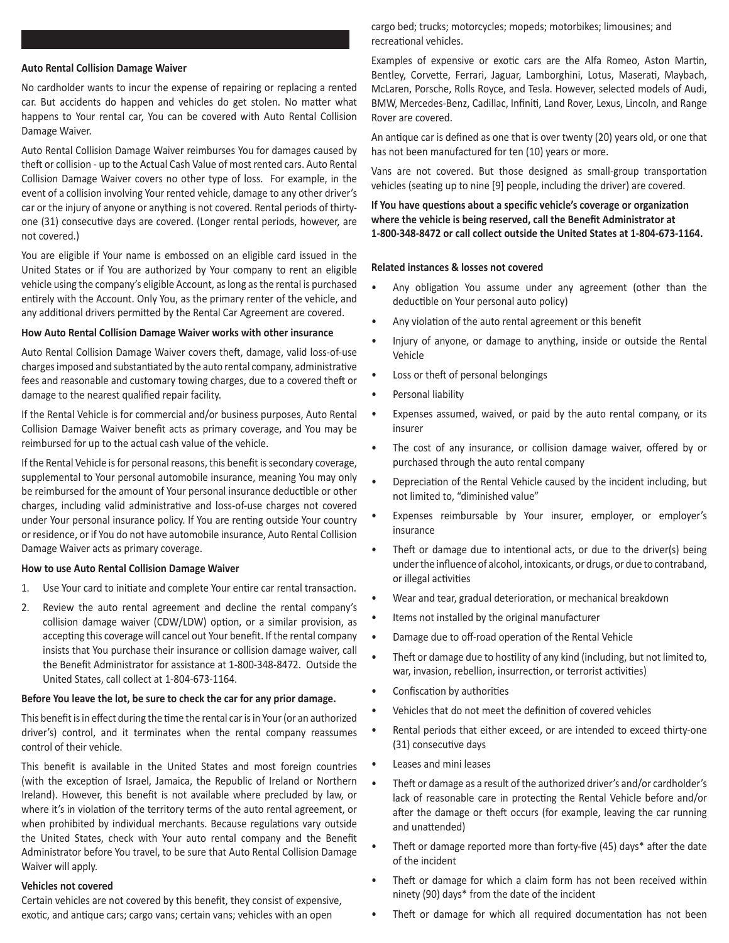#### **Auto Rental Collision Damage Waiver**

No cardholder wants to incur the expense of repairing or replacing a rented car. But accidents do happen and vehicles do get stolen. No matter what happens to Your rental car, You can be covered with Auto Rental Collision Damage Waiver.

Auto Rental Collision Damage Waiver reimburses You for damages caused by theft or collision - up to the Actual Cash Value of most rented cars. Auto Rental Collision Damage Waiver covers no other type of loss. For example, in the event of a collision involving Your rented vehicle, damage to any other driver's car or the injury of anyone or anything is not covered. Rental periods of thirtyone (31) consecutive days are covered. (Longer rental periods, however, are not covered.)

You are eligible if Your name is embossed on an eligible card issued in the United States or if You are authorized by Your company to rent an eligible vehicle using the company's eligible Account, as long as the rental is purchased entirely with the Account. Only You, as the primary renter of the vehicle, and any additional drivers permitted by the Rental Car Agreement are covered.

#### **How Auto Rental Collision Damage Waiver works with other insurance**

Auto Rental Collision Damage Waiver covers theft, damage, valid loss-of-use charges imposed and substantiated by the auto rental company, administrative fees and reasonable and customary towing charges, due to a covered theft or damage to the nearest qualified repair facility.

If the Rental Vehicle is for commercial and/or business purposes, Auto Rental Collision Damage Waiver benefit acts as primary coverage, and You may be reimbursed for up to the actual cash value of the vehicle.

If the Rental Vehicle is for personal reasons, this benefit is secondary coverage, supplemental to Your personal automobile insurance, meaning You may only be reimbursed for the amount of Your personal insurance deductible or other charges, including valid administrative and loss-of-use charges not covered under Your personal insurance policy. If You are renting outside Your country or residence, or if You do not have automobile insurance, Auto Rental Collision Damage Waiver acts as primary coverage.

#### **How to use Auto Rental Collision Damage Waiver**

- 1. Use Your card to initiate and complete Your entire car rental transaction.
- 2. Review the auto rental agreement and decline the rental company's collision damage waiver (CDW/LDW) option, or a similar provision, as accepting this coverage will cancel out Your benefit. If the rental company insists that You purchase their insurance or collision damage waiver, call the Benefit Administrator for assistance at 1-800-348-8472. Outside the United States, call collect at 1-804-673-1164.

#### **Before You leave the lot, be sure to check the car for any prior damage.**

This benefit is in effect during the time the rental car is in Your (or an authorized driver's) control, and it terminates when the rental company reassumes control of their vehicle.

This benefit is available in the United States and most foreign countries (with the exception of Israel, Jamaica, the Republic of Ireland or Northern Ireland). However, this benefit is not available where precluded by law, or where it's in violation of the territory terms of the auto rental agreement, or when prohibited by individual merchants. Because regulations vary outside the United States, check with Your auto rental company and the Benefit Administrator before You travel, to be sure that Auto Rental Collision Damage Waiver will apply.

#### **Vehicles not covered**

Certain vehicles are not covered by this benefit, they consist of expensive, exotic, and antique cars; cargo vans; certain vans; vehicles with an open

cargo bed; trucks; motorcycles; mopeds; motorbikes; limousines; and recreational vehicles.

Examples of expensive or exotic cars are the Alfa Romeo, Aston Martin, Bentley, Corvette, Ferrari, Jaguar, Lamborghini, Lotus, Maserati, Maybach, McLaren, Porsche, Rolls Royce, and Tesla. However, selected models of Audi, BMW, Mercedes-Benz, Cadillac, Infiniti, Land Rover, Lexus, Lincoln, and Range Rover are covered.

An antique car is defined as one that is over twenty (20) years old, or one that has not been manufactured for ten (10) years or more.

Vans are not covered. But those designed as small-group transportation vehicles (seating up to nine [9] people, including the driver) are covered.

**If You have questions about a specific vehicle's coverage or organization where the vehicle is being reserved, call the Benefit Administrator at 1-800-348-8472 or call collect outside the United States at 1-804-673-1164.** 

#### **Related instances & losses not covered**

- Any obligation You assume under any agreement (other than the deductible on Your personal auto policy)
- Any violation of the auto rental agreement or this benefit
- Injury of anyone, or damage to anything, inside or outside the Rental Vehicle
- Loss or theft of personal belongings
- Personal liability
- Expenses assumed, waived, or paid by the auto rental company, or its insurer
- The cost of any insurance, or collision damage waiver, offered by or purchased through the auto rental company
- Depreciation of the Rental Vehicle caused by the incident including, but not limited to, "diminished value"
- Expenses reimbursable by Your insurer, employer, or employer's insurance
- Theft or damage due to intentional acts, or due to the driver(s) being under the influence of alcohol, intoxicants, or drugs, or due to contraband, or illegal activities
- Wear and tear, gradual deterioration, or mechanical breakdown
- Items not installed by the original manufacturer
- Damage due to off-road operation of the Rental Vehicle
- Theft or damage due to hostility of any kind (including, but not limited to, war, invasion, rebellion, insurrection, or terrorist activities)
- Confiscation by authorities
- Vehicles that do not meet the definition of covered vehicles
- Rental periods that either exceed, or are intended to exceed thirty-one (31) consecutive days
- Leases and mini leases
- Theft or damage as a result of the authorized driver's and/or cardholder's lack of reasonable care in protecting the Rental Vehicle before and/or after the damage or theft occurs (for example, leaving the car running and unattended)
- Theft or damage reported more than forty-five (45) days\* after the date of the incident
- Theft or damage for which a claim form has not been received within ninety (90) days\* from the date of the incident
- Theft or damage for which all required documentation has not been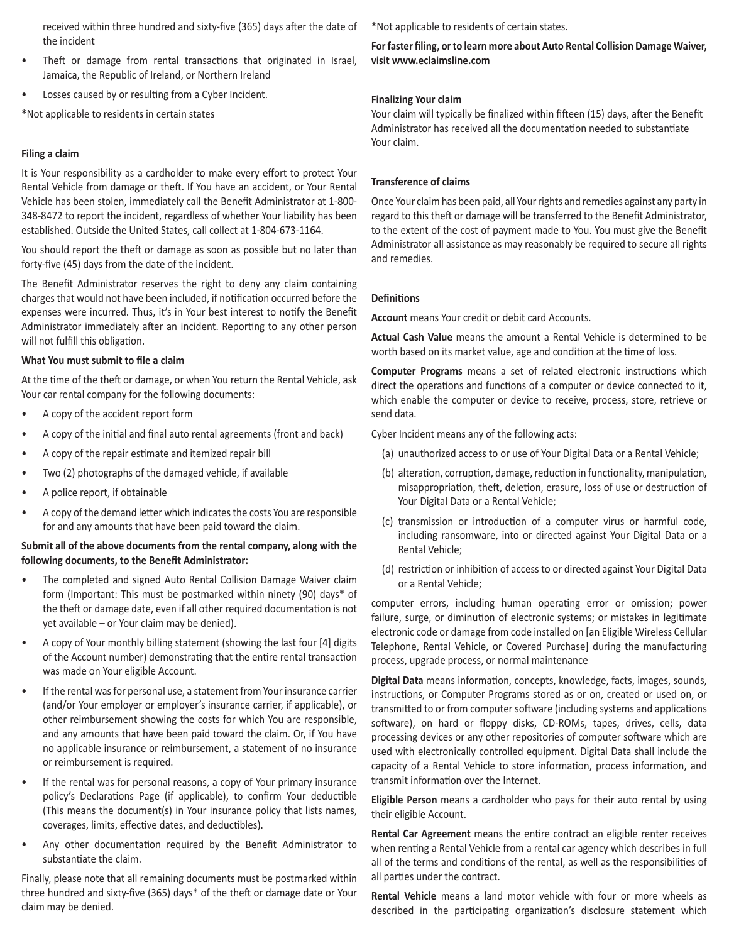received within three hundred and sixty-five (365) days after the date of the incident

- Theft or damage from rental transactions that originated in Israel, Jamaica, the Republic of Ireland, or Northern Ireland
- Losses caused by or resulting from a Cyber Incident.

\*Not applicable to residents in certain states

## **Filing a claim**

It is Your responsibility as a cardholder to make every effort to protect Your Rental Vehicle from damage or theft. If You have an accident, or Your Rental Vehicle has been stolen, immediately call the Benefit Administrator at 1-800- 348-8472 to report the incident, regardless of whether Your liability has been established. Outside the United States, call collect at 1-804-673-1164.

You should report the theft or damage as soon as possible but no later than forty-five (45) days from the date of the incident.

The Benefit Administrator reserves the right to deny any claim containing charges that would not have been included, if notification occurred before the expenses were incurred. Thus, it's in Your best interest to notify the Benefit Administrator immediately after an incident. Reporting to any other person will not fulfill this obligation.

### **What You must submit to file a claim**

At the time of the theft or damage, or when You return the Rental Vehicle, ask Your car rental company for the following documents:

- A copy of the accident report form
- A copy of the initial and final auto rental agreements (front and back)
- A copy of the repair estimate and itemized repair bill
- Two (2) photographs of the damaged vehicle, if available
- A police report, if obtainable
- A copy of the demand letter which indicates the costs You are responsible for and any amounts that have been paid toward the claim.

## **Submit all of the above documents from the rental company, along with the following documents, to the Benefit Administrator:**

- The completed and signed Auto Rental Collision Damage Waiver claim form (Important: This must be postmarked within ninety (90) days\* of the theft or damage date, even if all other required documentation is not yet available – or Your claim may be denied).
- A copy of Your monthly billing statement (showing the last four [4] digits of the Account number) demonstrating that the entire rental transaction was made on Your eligible Account.
- If the rental was for personal use, a statement from Your insurance carrier (and/or Your employer or employer's insurance carrier, if applicable), or other reimbursement showing the costs for which You are responsible, and any amounts that have been paid toward the claim. Or, if You have no applicable insurance or reimbursement, a statement of no insurance or reimbursement is required.
- If the rental was for personal reasons, a copy of Your primary insurance policy's Declarations Page (if applicable), to confirm Your deductible (This means the document(s) in Your insurance policy that lists names, coverages, limits, effective dates, and deductibles).
- Any other documentation required by the Benefit Administrator to substantiate the claim.

Finally, please note that all remaining documents must be postmarked within three hundred and sixty-five (365) days\* of the theft or damage date or Your claim may be denied.

\*Not applicable to residents of certain states.

**For faster filing, or to learn more about Auto Rental Collision Damage Waiver, visit www.eclaimsline.com**

## **Finalizing Your claim**

Your claim will typically be finalized within fifteen (15) days, after the Benefit Administrator has received all the documentation needed to substantiate Your claim.

## **Transference of claims**

Once Your claim has been paid, all Your rights and remedies against any party in regard to this theft or damage will be transferred to the Benefit Administrator, to the extent of the cost of payment made to You. You must give the Benefit Administrator all assistance as may reasonably be required to secure all rights and remedies.

## **Definitions**

**Account** means Your credit or debit card Accounts.

**Actual Cash Value** means the amount a Rental Vehicle is determined to be worth based on its market value, age and condition at the time of loss.

**Computer Programs** means a set of related electronic instructions which direct the operations and functions of a computer or device connected to it, which enable the computer or device to receive, process, store, retrieve or send data.

Cyber Incident means any of the following acts:

- (a) unauthorized access to or use of Your Digital Data or a Rental Vehicle;
- (b) alteration, corruption, damage, reduction in functionality, manipulation, misappropriation, theft, deletion, erasure, loss of use or destruction of Your Digital Data or a Rental Vehicle;
- (c) transmission or introduction of a computer virus or harmful code, including ransomware, into or directed against Your Digital Data or a Rental Vehicle;
- (d) restriction or inhibition of access to or directed against Your Digital Data or a Rental Vehicle;

computer errors, including human operating error or omission; power failure, surge, or diminution of electronic systems; or mistakes in legitimate electronic code or damage from code installed on [an Eligible Wireless Cellular Telephone, Rental Vehicle, or Covered Purchase] during the manufacturing process, upgrade process, or normal maintenance

**Digital Data** means information, concepts, knowledge, facts, images, sounds, instructions, or Computer Programs stored as or on, created or used on, or transmitted to or from computer software (including systems and applications software), on hard or floppy disks, CD-ROMs, tapes, drives, cells, data processing devices or any other repositories of computer software which are used with electronically controlled equipment. Digital Data shall include the capacity of a Rental Vehicle to store information, process information, and transmit information over the Internet.

**Eligible Person** means a cardholder who pays for their auto rental by using their eligible Account.

**Rental Car Agreement** means the entire contract an eligible renter receives when renting a Rental Vehicle from a rental car agency which describes in full all of the terms and conditions of the rental, as well as the responsibilities of all parties under the contract.

**Rental Vehicle** means a land motor vehicle with four or more wheels as described in the participating organization's disclosure statement which